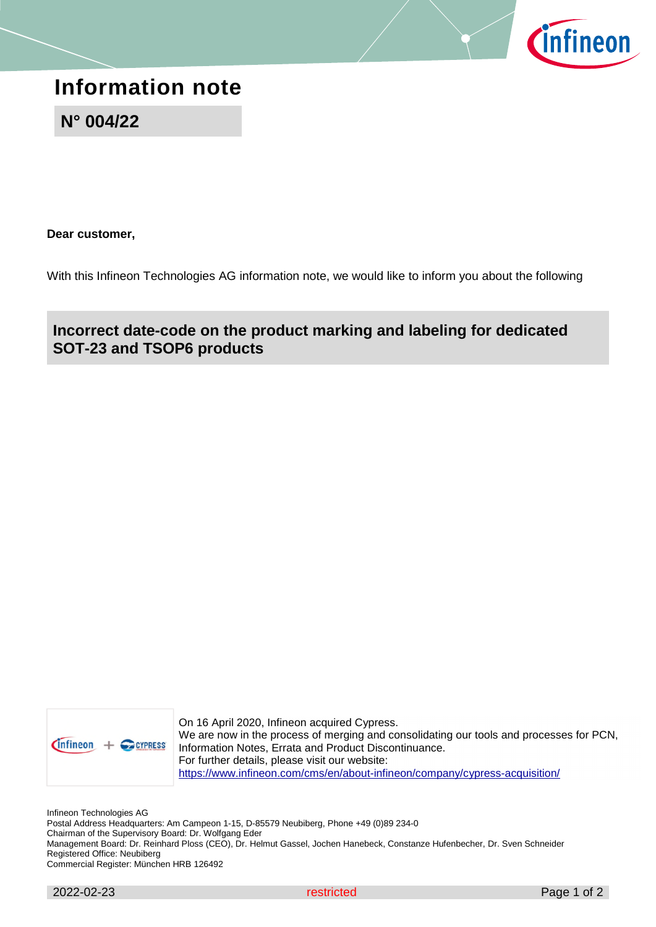

## **Information note**

**N° 004/22**

**Dear customer,** 

With this Infineon Technologies AG information note, we would like to inform you about the following

**Incorrect date-code on the product marking and labeling for dedicated SOT-23 and TSOP6 products** 



On 16 April 2020, Infineon acquired Cypress. We are now in the process of merging and consolidating our tools and processes for PCN, Information Notes, Errata and Product Discontinuance. For further details, please visit our website: https://www.infineon.com/cms/en/about-infineon/company/cypress-acquisition/

Infineon Technologies AG

Postal Address Headquarters: Am Campeon 1-15, D-85579 Neubiberg, Phone +49 (0)89 234-0 Chairman of the Supervisory Board: Dr. Wolfgang Eder Management Board: Dr. Reinhard Ploss (CEO), Dr. Helmut Gassel, Jochen Hanebeck, Constanze Hufenbecher, Dr. Sven Schneider Registered Office: Neubiberg Commercial Register: München HRB 126492